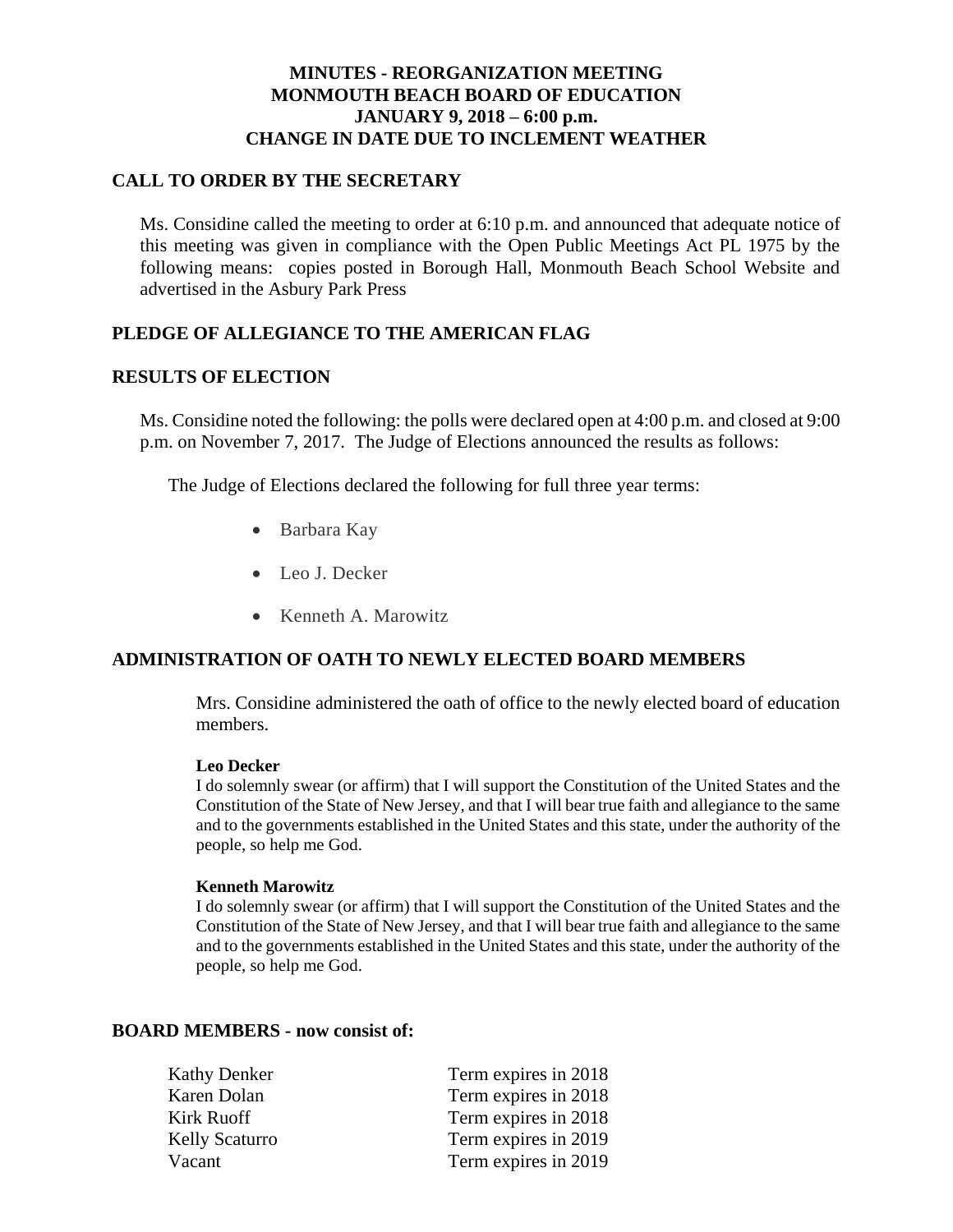### **MINUTES - REORGANIZATION MEETING MONMOUTH BEACH BOARD OF EDUCATION JANUARY 9, 2018 – 6:00 p.m. CHANGE IN DATE DUE TO INCLEMENT WEATHER**

## **CALL TO ORDER BY THE SECRETARY**

Ms. Considine called the meeting to order at 6:10 p.m. and announced that adequate notice of this meeting was given in compliance with the Open Public Meetings Act PL 1975 by the following means: copies posted in Borough Hall, Monmouth Beach School Website and advertised in the Asbury Park Press

# **PLEDGE OF ALLEGIANCE TO THE AMERICAN FLAG**

#### **RESULTS OF ELECTION**

Ms. Considine noted the following: the polls were declared open at 4:00 p.m. and closed at 9:00 p.m. on November 7, 2017. The Judge of Elections announced the results as follows:

The Judge of Elections declared the following for full three year terms:

- Barbara Kay
- Leo J. Decker
- Kenneth A. Marowitz

#### **ADMINISTRATION OF OATH TO NEWLY ELECTED BOARD MEMBERS**

Mrs. Considine administered the oath of office to the newly elected board of education members.

#### **Leo Decker**

I do solemnly swear (or affirm) that I will support the Constitution of the United States and the Constitution of the State of New Jersey, and that I will bear true faith and allegiance to the same and to the governments established in the United States and this state, under the authority of the people, so help me God.

#### **Kenneth Marowitz**

I do solemnly swear (or affirm) that I will support the Constitution of the United States and the Constitution of the State of New Jersey, and that I will bear true faith and allegiance to the same and to the governments established in the United States and this state, under the authority of the people, so help me God.

#### **BOARD MEMBERS - now consist of:**

| <b>Kathy Denker</b>   | Term expires in 2018 |
|-----------------------|----------------------|
| Karen Dolan           | Term expires in 2018 |
| Kirk Ruoff            | Term expires in 2018 |
| <b>Kelly Scaturro</b> | Term expires in 2019 |
| Vacant                | Term expires in 2019 |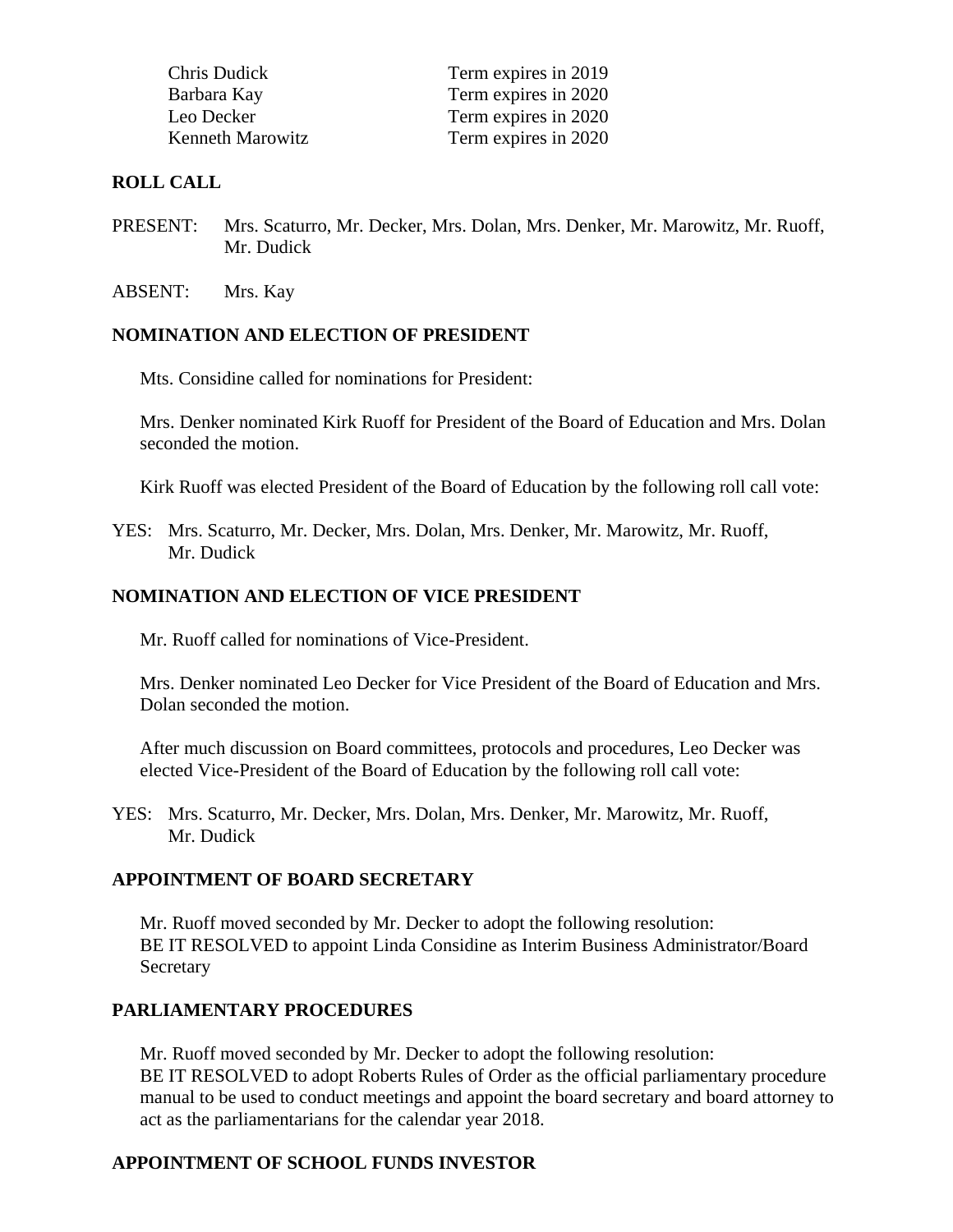| Chris Dudick            | Term expires in 2019 |
|-------------------------|----------------------|
| Barbara Kay             | Term expires in 2020 |
| Leo Decker              | Term expires in 2020 |
| <b>Kenneth Marowitz</b> | Term expires in 2020 |

#### **ROLL CALL**

- PRESENT: Mrs. Scaturro, Mr. Decker, Mrs. Dolan, Mrs. Denker, Mr. Marowitz, Mr. Ruoff, Mr. Dudick
- ABSENT: Mrs. Kay

#### **NOMINATION AND ELECTION OF PRESIDENT**

Mts. Considine called for nominations for President:

Mrs. Denker nominated Kirk Ruoff for President of the Board of Education and Mrs. Dolan seconded the motion.

Kirk Ruoff was elected President of the Board of Education by the following roll call vote:

YES: Mrs. Scaturro, Mr. Decker, Mrs. Dolan, Mrs. Denker, Mr. Marowitz, Mr. Ruoff, Mr. Dudick

#### **NOMINATION AND ELECTION OF VICE PRESIDENT**

Mr. Ruoff called for nominations of Vice-President.

Mrs. Denker nominated Leo Decker for Vice President of the Board of Education and Mrs. Dolan seconded the motion.

After much discussion on Board committees, protocols and procedures, Leo Decker was elected Vice-President of the Board of Education by the following roll call vote:

YES: Mrs. Scaturro, Mr. Decker, Mrs. Dolan, Mrs. Denker, Mr. Marowitz, Mr. Ruoff, Mr. Dudick

#### **APPOINTMENT OF BOARD SECRETARY**

Mr. Ruoff moved seconded by Mr. Decker to adopt the following resolution: BE IT RESOLVED to appoint Linda Considine as Interim Business Administrator/Board **Secretary** 

#### **PARLIAMENTARY PROCEDURES**

Mr. Ruoff moved seconded by Mr. Decker to adopt the following resolution: BE IT RESOLVED to adopt Roberts Rules of Order as the official parliamentary procedure manual to be used to conduct meetings and appoint the board secretary and board attorney to act as the parliamentarians for the calendar year 2018.

## **APPOINTMENT OF SCHOOL FUNDS INVESTOR**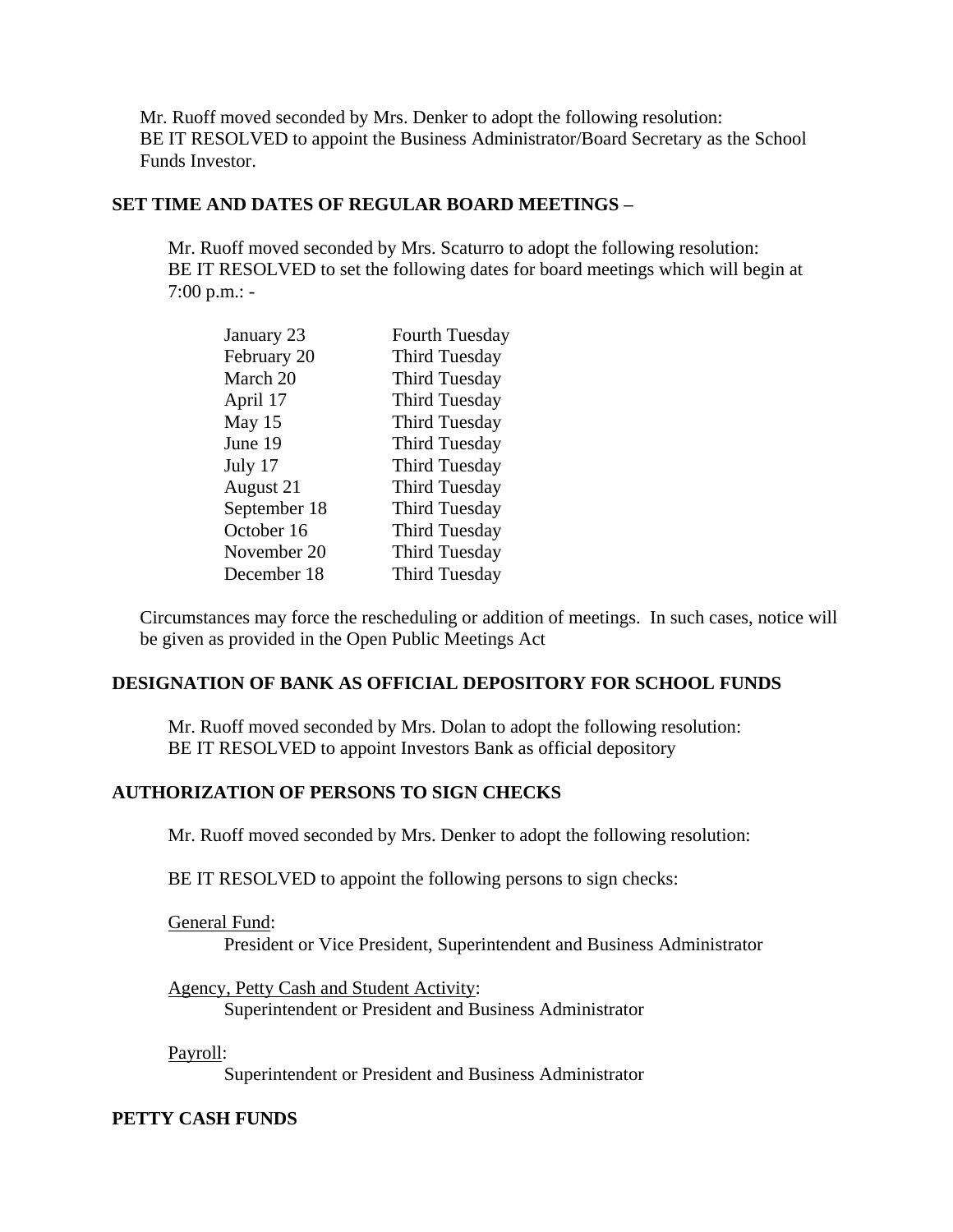Mr. Ruoff moved seconded by Mrs. Denker to adopt the following resolution: BE IT RESOLVED to appoint the Business Administrator/Board Secretary as the School Funds Investor.

#### **SET TIME AND DATES OF REGULAR BOARD MEETINGS –**

Mr. Ruoff moved seconded by Mrs. Scaturro to adopt the following resolution: BE IT RESOLVED to set the following dates for board meetings which will begin at 7:00 p.m.: -

| January 23   | <b>Fourth Tuesday</b> |
|--------------|-----------------------|
| February 20  | <b>Third Tuesday</b>  |
| March 20     | <b>Third Tuesday</b>  |
| April 17     | <b>Third Tuesday</b>  |
| May 15       | <b>Third Tuesday</b>  |
| June 19      | <b>Third Tuesday</b>  |
| July 17      | <b>Third Tuesday</b>  |
| August 21    | <b>Third Tuesday</b>  |
| September 18 | <b>Third Tuesday</b>  |
| October 16   | <b>Third Tuesday</b>  |
| November 20  | <b>Third Tuesday</b>  |
| December 18  | <b>Third Tuesday</b>  |

Circumstances may force the rescheduling or addition of meetings. In such cases, notice will be given as provided in the Open Public Meetings Act

#### **DESIGNATION OF BANK AS OFFICIAL DEPOSITORY FOR SCHOOL FUNDS**

Mr. Ruoff moved seconded by Mrs. Dolan to adopt the following resolution: BE IT RESOLVED to appoint Investors Bank as official depository

#### **AUTHORIZATION OF PERSONS TO SIGN CHECKS**

Mr. Ruoff moved seconded by Mrs. Denker to adopt the following resolution:

BE IT RESOLVED to appoint the following persons to sign checks:

General Fund:

President or Vice President, Superintendent and Business Administrator

Agency, Petty Cash and Student Activity: Superintendent or President and Business Administrator

Payroll:

Superintendent or President and Business Administrator

#### **PETTY CASH FUNDS**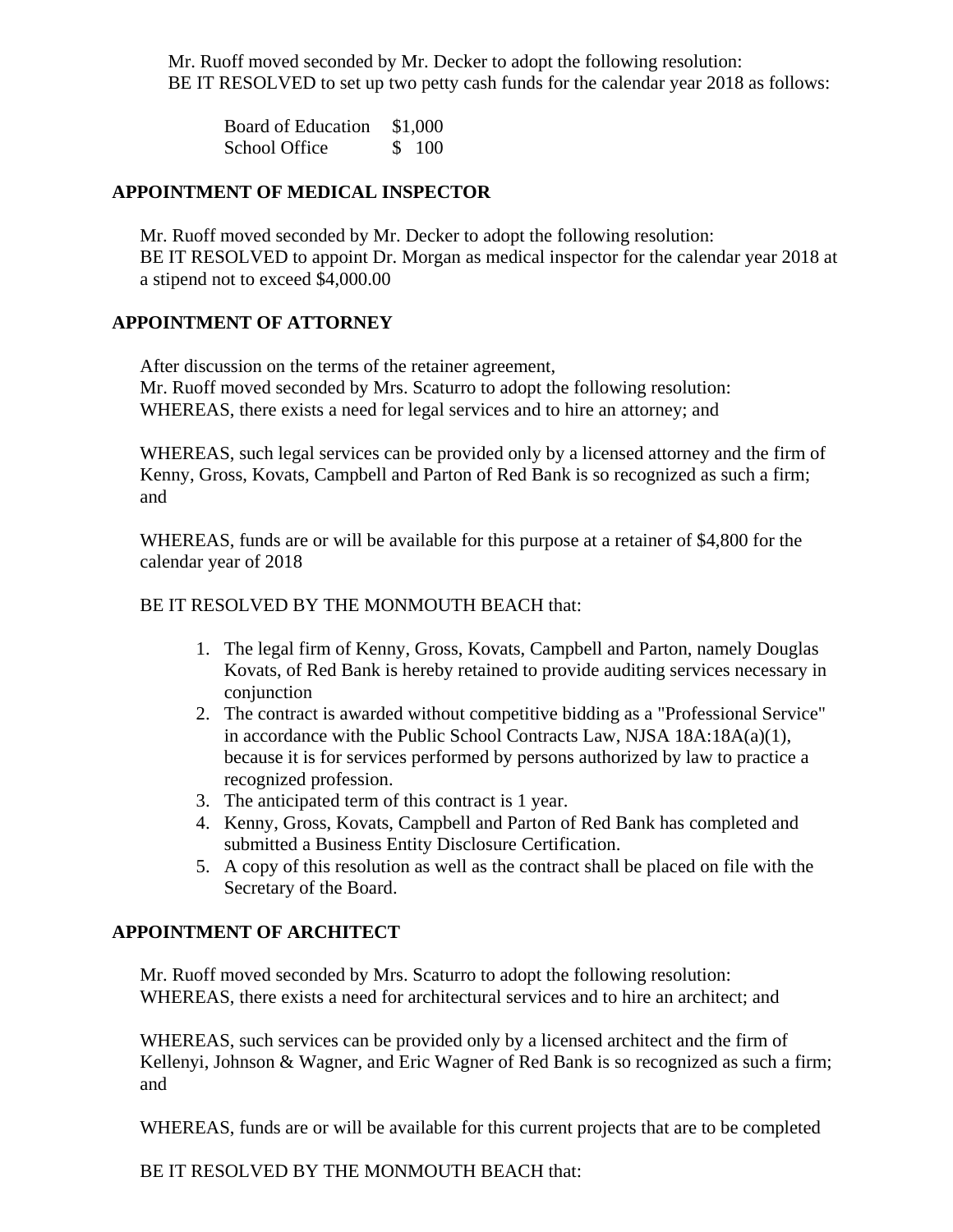Mr. Ruoff moved seconded by Mr. Decker to adopt the following resolution: BE IT RESOLVED to set up two petty cash funds for the calendar year 2018 as follows:

Board of Education \$1,000 School Office \$ 100

#### **APPOINTMENT OF MEDICAL INSPECTOR**

Mr. Ruoff moved seconded by Mr. Decker to adopt the following resolution: BE IT RESOLVED to appoint Dr. Morgan as medical inspector for the calendar year 2018 at a stipend not to exceed \$4,000.00

## **APPOINTMENT OF ATTORNEY**

After discussion on the terms of the retainer agreement, Mr. Ruoff moved seconded by Mrs. Scaturro to adopt the following resolution: WHEREAS, there exists a need for legal services and to hire an attorney; and

WHEREAS, such legal services can be provided only by a licensed attorney and the firm of Kenny, Gross, Kovats, Campbell and Parton of Red Bank is so recognized as such a firm; and

WHEREAS, funds are or will be available for this purpose at a retainer of \$4,800 for the calendar year of 2018

#### BE IT RESOLVED BY THE MONMOUTH BEACH that:

- 1. The legal firm of Kenny, Gross, Kovats, Campbell and Parton, namely Douglas Kovats, of Red Bank is hereby retained to provide auditing services necessary in conjunction
- 2. The contract is awarded without competitive bidding as a "Professional Service" in accordance with the Public School Contracts Law, NJSA 18A:18A(a)(1), because it is for services performed by persons authorized by law to practice a recognized profession.
- 3. The anticipated term of this contract is 1 year.
- 4. Kenny, Gross, Kovats, Campbell and Parton of Red Bank has completed and submitted a Business Entity Disclosure Certification.
- 5. A copy of this resolution as well as the contract shall be placed on file with the Secretary of the Board.

## **APPOINTMENT OF ARCHITECT**

Mr. Ruoff moved seconded by Mrs. Scaturro to adopt the following resolution: WHEREAS, there exists a need for architectural services and to hire an architect; and

WHEREAS, such services can be provided only by a licensed architect and the firm of Kellenyi, Johnson & Wagner, and Eric Wagner of Red Bank is so recognized as such a firm; and

WHEREAS, funds are or will be available for this current projects that are to be completed

BE IT RESOLVED BY THE MONMOUTH BEACH that: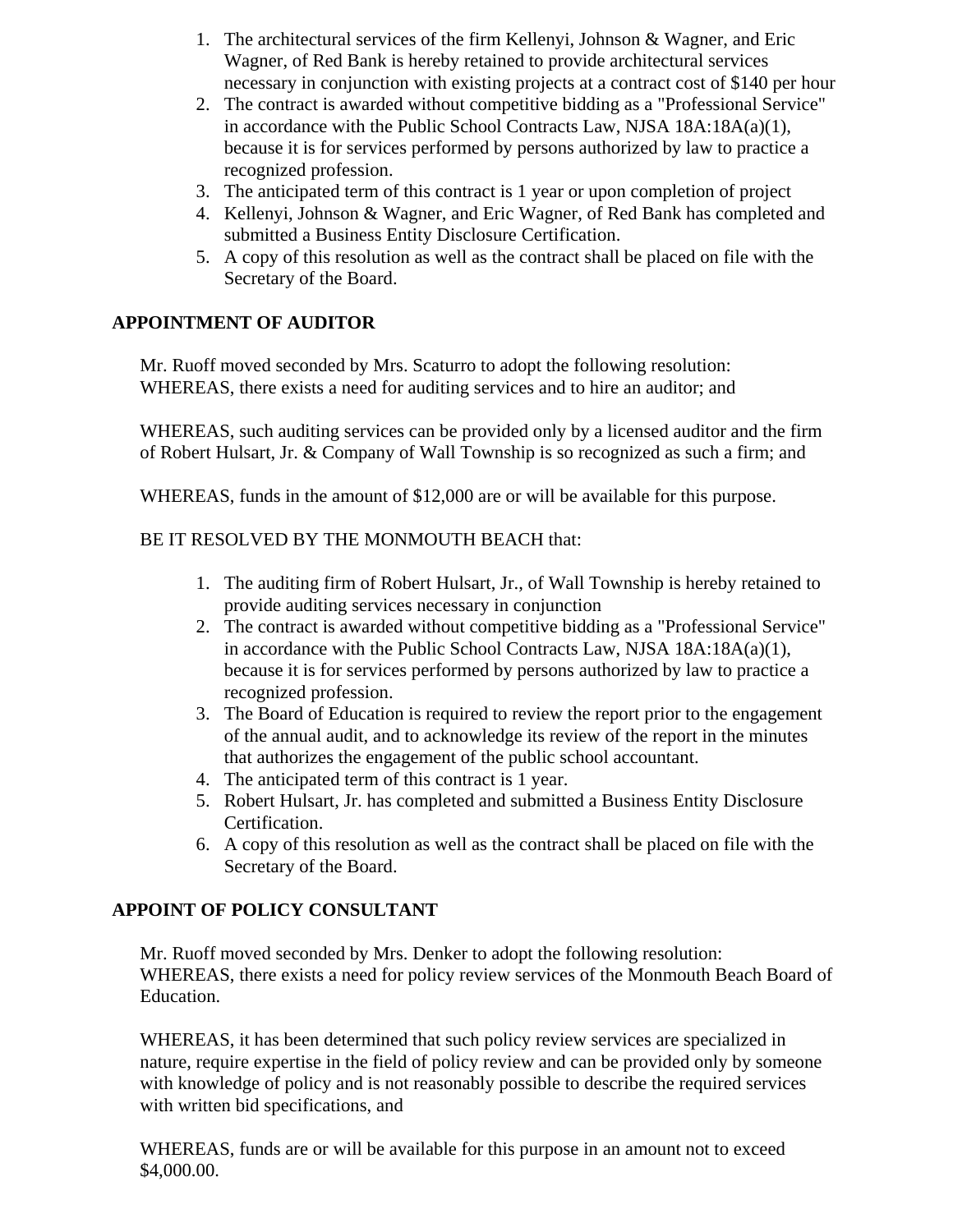- 1. The architectural services of the firm Kellenyi, Johnson & Wagner, and Eric Wagner, of Red Bank is hereby retained to provide architectural services necessary in conjunction with existing projects at a contract cost of \$140 per hour
- 2. The contract is awarded without competitive bidding as a "Professional Service" in accordance with the Public School Contracts Law, NJSA 18A:18A(a)(1), because it is for services performed by persons authorized by law to practice a recognized profession.
- 3. The anticipated term of this contract is 1 year or upon completion of project
- 4. Kellenyi, Johnson & Wagner, and Eric Wagner, of Red Bank has completed and submitted a Business Entity Disclosure Certification.
- 5. A copy of this resolution as well as the contract shall be placed on file with the Secretary of the Board.

## **APPOINTMENT OF AUDITOR**

Mr. Ruoff moved seconded by Mrs. Scaturro to adopt the following resolution: WHEREAS, there exists a need for auditing services and to hire an auditor; and

WHEREAS, such auditing services can be provided only by a licensed auditor and the firm of Robert Hulsart, Jr. & Company of Wall Township is so recognized as such a firm; and

WHEREAS, funds in the amount of \$12,000 are or will be available for this purpose.

#### BE IT RESOLVED BY THE MONMOUTH BEACH that:

- 1. The auditing firm of Robert Hulsart, Jr., of Wall Township is hereby retained to provide auditing services necessary in conjunction
- 2. The contract is awarded without competitive bidding as a "Professional Service" in accordance with the Public School Contracts Law, NJSA 18A:18A(a)(1), because it is for services performed by persons authorized by law to practice a recognized profession.
- 3. The Board of Education is required to review the report prior to the engagement of the annual audit, and to acknowledge its review of the report in the minutes that authorizes the engagement of the public school accountant.
- 4. The anticipated term of this contract is 1 year.
- 5. Robert Hulsart, Jr. has completed and submitted a Business Entity Disclosure Certification.
- 6. A copy of this resolution as well as the contract shall be placed on file with the Secretary of the Board.

## **APPOINT OF POLICY CONSULTANT**

Mr. Ruoff moved seconded by Mrs. Denker to adopt the following resolution: WHEREAS, there exists a need for policy review services of the Monmouth Beach Board of Education.

WHEREAS, it has been determined that such policy review services are specialized in nature, require expertise in the field of policy review and can be provided only by someone with knowledge of policy and is not reasonably possible to describe the required services with written bid specifications, and

WHEREAS, funds are or will be available for this purpose in an amount not to exceed \$4,000.00.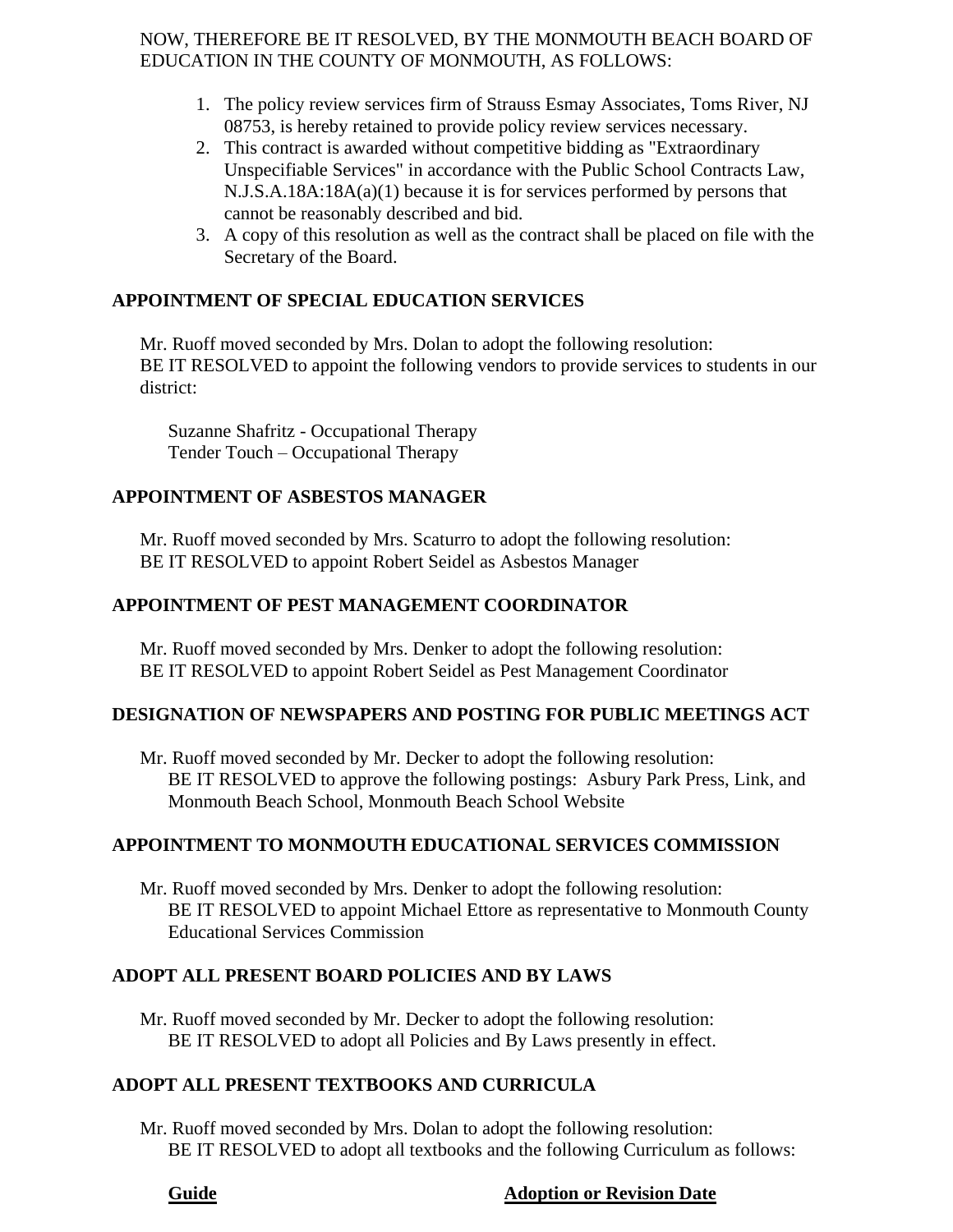NOW, THEREFORE BE IT RESOLVED, BY THE MONMOUTH BEACH BOARD OF EDUCATION IN THE COUNTY OF MONMOUTH, AS FOLLOWS:

- 1. The policy review services firm of Strauss Esmay Associates, Toms River, NJ 08753, is hereby retained to provide policy review services necessary.
- 2. This contract is awarded without competitive bidding as "Extraordinary Unspecifiable Services" in accordance with the Public School Contracts Law, N.J.S.A.18A:18A(a)(1) because it is for services performed by persons that cannot be reasonably described and bid.
- 3. A copy of this resolution as well as the contract shall be placed on file with the Secretary of the Board.

## **APPOINTMENT OF SPECIAL EDUCATION SERVICES**

Mr. Ruoff moved seconded by Mrs. Dolan to adopt the following resolution: BE IT RESOLVED to appoint the following vendors to provide services to students in our district:

Suzanne Shafritz - Occupational Therapy Tender Touch – Occupational Therapy

## **APPOINTMENT OF ASBESTOS MANAGER**

Mr. Ruoff moved seconded by Mrs. Scaturro to adopt the following resolution: BE IT RESOLVED to appoint Robert Seidel as Asbestos Manager

# **APPOINTMENT OF PEST MANAGEMENT COORDINATOR**

Mr. Ruoff moved seconded by Mrs. Denker to adopt the following resolution: BE IT RESOLVED to appoint Robert Seidel as Pest Management Coordinator

## **DESIGNATION OF NEWSPAPERS AND POSTING FOR PUBLIC MEETINGS ACT**

Mr. Ruoff moved seconded by Mr. Decker to adopt the following resolution: BE IT RESOLVED to approve the following postings: Asbury Park Press, Link, and Monmouth Beach School, Monmouth Beach School Website

## **APPOINTMENT TO MONMOUTH EDUCATIONAL SERVICES COMMISSION**

Mr. Ruoff moved seconded by Mrs. Denker to adopt the following resolution: BE IT RESOLVED to appoint Michael Ettore as representative to Monmouth County Educational Services Commission

## **ADOPT ALL PRESENT BOARD POLICIES AND BY LAWS**

Mr. Ruoff moved seconded by Mr. Decker to adopt the following resolution: BE IT RESOLVED to adopt all Policies and By Laws presently in effect.

## **ADOPT ALL PRESENT TEXTBOOKS AND CURRICULA**

Mr. Ruoff moved seconded by Mrs. Dolan to adopt the following resolution: BE IT RESOLVED to adopt all textbooks and the following Curriculum as follows:

## **Guide Adoption or Revision Date**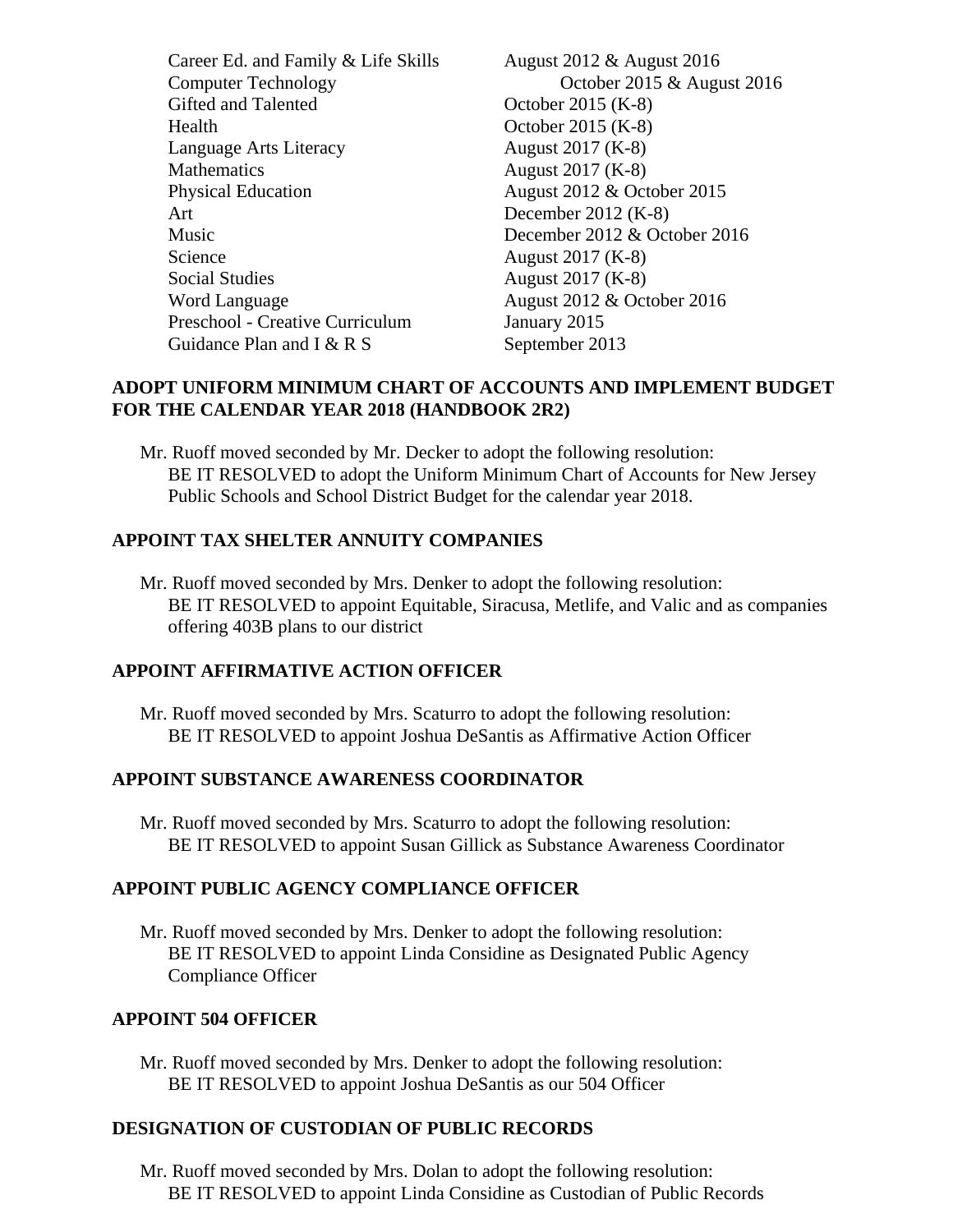Career Ed. and Family & Life Skills August 2012 & August 2016 Computer Technology October 2015 & August 2016 Gifted and Talented  $\qquad \qquad$  October 2015 (K-8) Health October 2015 (K-8) Language Arts Literacy August 2017 (K-8) Mathematics August 2017 (K-8) Physical Education August 2012 & October 2015 Art December 2012 (K-8) Music December 2012 & October 2016 Science August 2017 (K-8) Social Studies August 2017 (K-8) Word Language **August 2012 & October 2016** Preschool - Creative Curriculum January 2015 Guidance Plan and I & R S September 2013

### **ADOPT UNIFORM MINIMUM CHART OF ACCOUNTS AND IMPLEMENT BUDGET FOR THE CALENDAR YEAR 2018 (HANDBOOK 2R2)**

Mr. Ruoff moved seconded by Mr. Decker to adopt the following resolution: BE IT RESOLVED to adopt the Uniform Minimum Chart of Accounts for New Jersey Public Schools and School District Budget for the calendar year 2018.

## **APPOINT TAX SHELTER ANNUITY COMPANIES**

Mr. Ruoff moved seconded by Mrs. Denker to adopt the following resolution: BE IT RESOLVED to appoint Equitable, Siracusa, Metlife, and Valic and as companies offering 403B plans to our district

## **APPOINT AFFIRMATIVE ACTION OFFICER**

Mr. Ruoff moved seconded by Mrs. Scaturro to adopt the following resolution: BE IT RESOLVED to appoint Joshua DeSantis as Affirmative Action Officer

# **APPOINT SUBSTANCE AWARENESS COORDINATOR**

Mr. Ruoff moved seconded by Mrs. Scaturro to adopt the following resolution: BE IT RESOLVED to appoint Susan Gillick as Substance Awareness Coordinator

# **APPOINT PUBLIC AGENCY COMPLIANCE OFFICER**

Mr. Ruoff moved seconded by Mrs. Denker to adopt the following resolution: BE IT RESOLVED to appoint Linda Considine as Designated Public Agency Compliance Officer

## **APPOINT 504 OFFICER**

Mr. Ruoff moved seconded by Mrs. Denker to adopt the following resolution: BE IT RESOLVED to appoint Joshua DeSantis as our 504 Officer

## **DESIGNATION OF CUSTODIAN OF PUBLIC RECORDS**

Mr. Ruoff moved seconded by Mrs. Dolan to adopt the following resolution: BE IT RESOLVED to appoint Linda Considine as Custodian of Public Records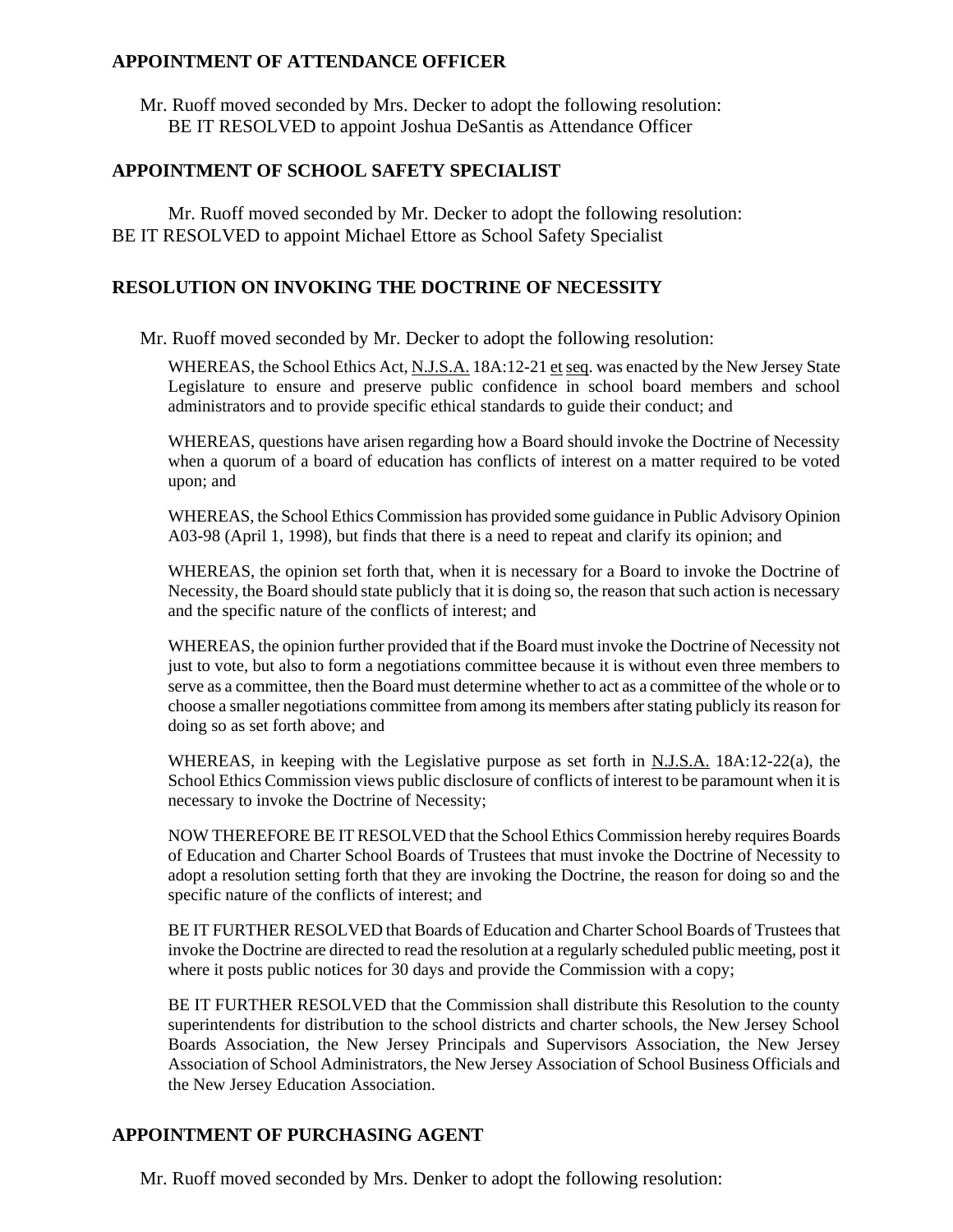#### **APPOINTMENT OF ATTENDANCE OFFICER**

Mr. Ruoff moved seconded by Mrs. Decker to adopt the following resolution: BE IT RESOLVED to appoint Joshua DeSantis as Attendance Officer

### **APPOINTMENT OF SCHOOL SAFETY SPECIALIST**

Mr. Ruoff moved seconded by Mr. Decker to adopt the following resolution: BE IT RESOLVED to appoint Michael Ettore as School Safety Specialist

### **RESOLUTION ON INVOKING THE DOCTRINE OF NECESSITY**

Mr. Ruoff moved seconded by Mr. Decker to adopt the following resolution:

WHEREAS, the School Ethics Act, N.J.S.A. 18A:12-21 et seq. was enacted by the New Jersey State Legislature to ensure and preserve public confidence in school board members and school administrators and to provide specific ethical standards to guide their conduct; and

WHEREAS, questions have arisen regarding how a Board should invoke the Doctrine of Necessity when a quorum of a board of education has conflicts of interest on a matter required to be voted upon; and

WHEREAS, the School Ethics Commission has provided some guidance in Public Advisory Opinion A03-98 (April 1, 1998), but finds that there is a need to repeat and clarify its opinion; and

WHEREAS, the opinion set forth that, when it is necessary for a Board to invoke the Doctrine of Necessity, the Board should state publicly that it is doing so, the reason that such action is necessary and the specific nature of the conflicts of interest; and

WHEREAS, the opinion further provided that if the Board must invoke the Doctrine of Necessity not just to vote, but also to form a negotiations committee because it is without even three members to serve as a committee, then the Board must determine whether to act as a committee of the whole or to choose a smaller negotiations committee from among its members after stating publicly its reason for doing so as set forth above; and

WHEREAS, in keeping with the Legislative purpose as set forth in N.J.S.A. 18A:12-22(a), the School Ethics Commission views public disclosure of conflicts of interest to be paramount when it is necessary to invoke the Doctrine of Necessity;

NOW THEREFORE BE IT RESOLVED that the School Ethics Commission hereby requires Boards of Education and Charter School Boards of Trustees that must invoke the Doctrine of Necessity to adopt a resolution setting forth that they are invoking the Doctrine, the reason for doing so and the specific nature of the conflicts of interest; and

BE IT FURTHER RESOLVED that Boards of Education and Charter School Boards of Trustees that invoke the Doctrine are directed to read the resolution at a regularly scheduled public meeting, post it where it posts public notices for 30 days and provide the Commission with a copy;

BE IT FURTHER RESOLVED that the Commission shall distribute this Resolution to the county superintendents for distribution to the school districts and charter schools, the New Jersey School Boards Association, the New Jersey Principals and Supervisors Association, the New Jersey Association of School Administrators, the New Jersey Association of School Business Officials and the New Jersey Education Association.

## **APPOINTMENT OF PURCHASING AGENT**

Mr. Ruoff moved seconded by Mrs. Denker to adopt the following resolution: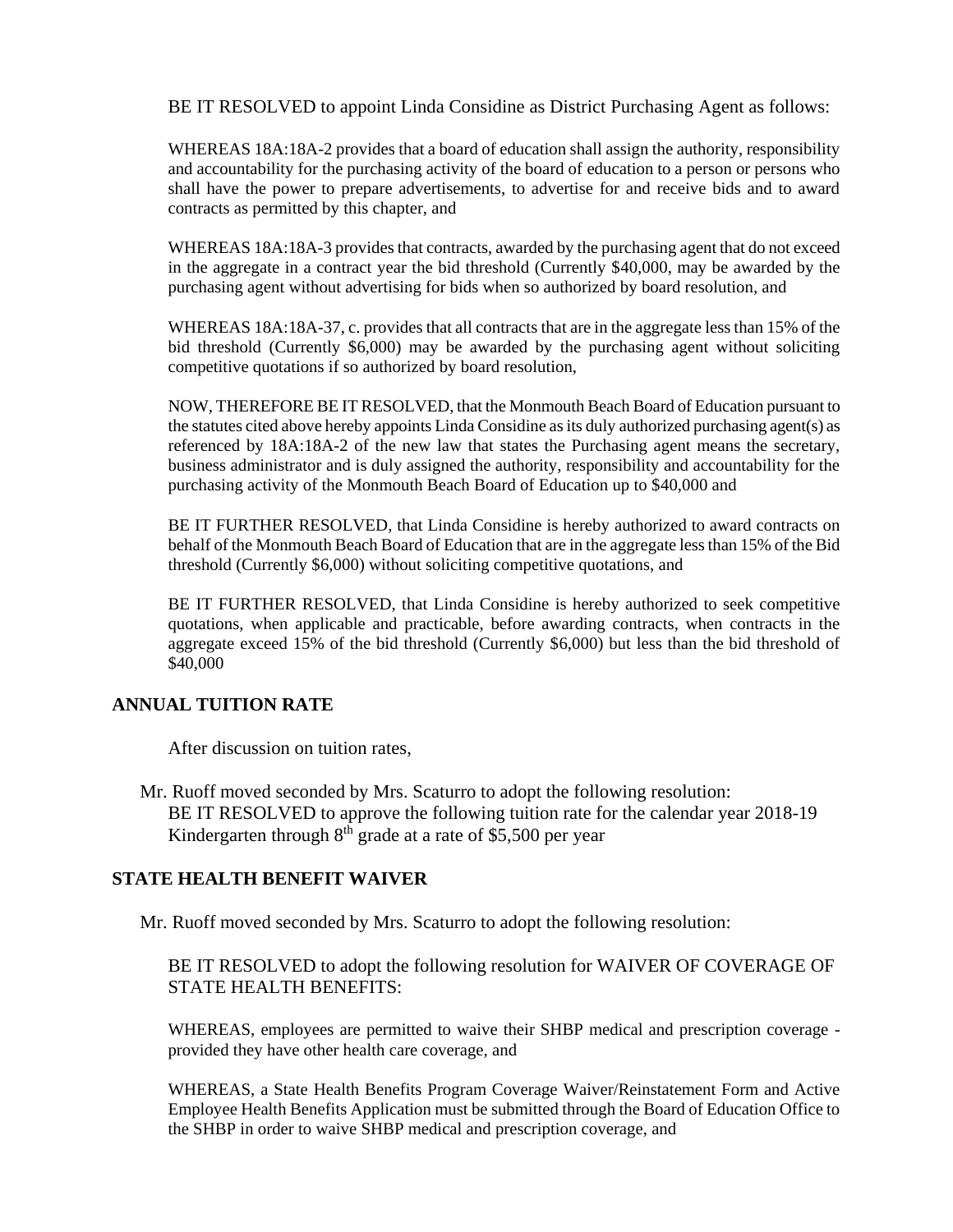BE IT RESOLVED to appoint Linda Considine as District Purchasing Agent as follows:

WHEREAS 18A:18A-2 provides that a board of education shall assign the authority, responsibility and accountability for the purchasing activity of the board of education to a person or persons who shall have the power to prepare advertisements, to advertise for and receive bids and to award contracts as permitted by this chapter, and

WHEREAS 18A:18A-3 provides that contracts, awarded by the purchasing agent that do not exceed in the aggregate in a contract year the bid threshold (Currently \$40,000, may be awarded by the purchasing agent without advertising for bids when so authorized by board resolution, and

WHEREAS 18A:18A-37, c. provides that all contracts that are in the aggregate less than 15% of the bid threshold (Currently \$6,000) may be awarded by the purchasing agent without soliciting competitive quotations if so authorized by board resolution,

NOW, THEREFORE BE IT RESOLVED, that the Monmouth Beach Board of Education pursuant to the statutes cited above hereby appoints Linda Considine as its duly authorized purchasing agent(s) as referenced by 18A:18A-2 of the new law that states the Purchasing agent means the secretary, business administrator and is duly assigned the authority, responsibility and accountability for the purchasing activity of the Monmouth Beach Board of Education up to \$40,000 and

BE IT FURTHER RESOLVED, that Linda Considine is hereby authorized to award contracts on behalf of the Monmouth Beach Board of Education that are in the aggregate less than 15% of the Bid threshold (Currently \$6,000) without soliciting competitive quotations, and

BE IT FURTHER RESOLVED, that Linda Considine is hereby authorized to seek competitive quotations, when applicable and practicable, before awarding contracts, when contracts in the aggregate exceed 15% of the bid threshold (Currently \$6,000) but less than the bid threshold of \$40,000

#### **ANNUAL TUITION RATE**

After discussion on tuition rates,

Mr. Ruoff moved seconded by Mrs. Scaturro to adopt the following resolution: BE IT RESOLVED to approve the following tuition rate for the calendar year 2018-19 Kindergarten through  $8<sup>th</sup>$  grade at a rate of \$5,500 per year

#### **STATE HEALTH BENEFIT WAIVER**

Mr. Ruoff moved seconded by Mrs. Scaturro to adopt the following resolution:

BE IT RESOLVED to adopt the following resolution for WAIVER OF COVERAGE OF STATE HEALTH BENEFITS:

WHEREAS, employees are permitted to waive their SHBP medical and prescription coverage provided they have other health care coverage, and

WHEREAS, a State Health Benefits Program Coverage Waiver/Reinstatement Form and Active Employee Health Benefits Application must be submitted through the Board of Education Office to the SHBP in order to waive SHBP medical and prescription coverage, and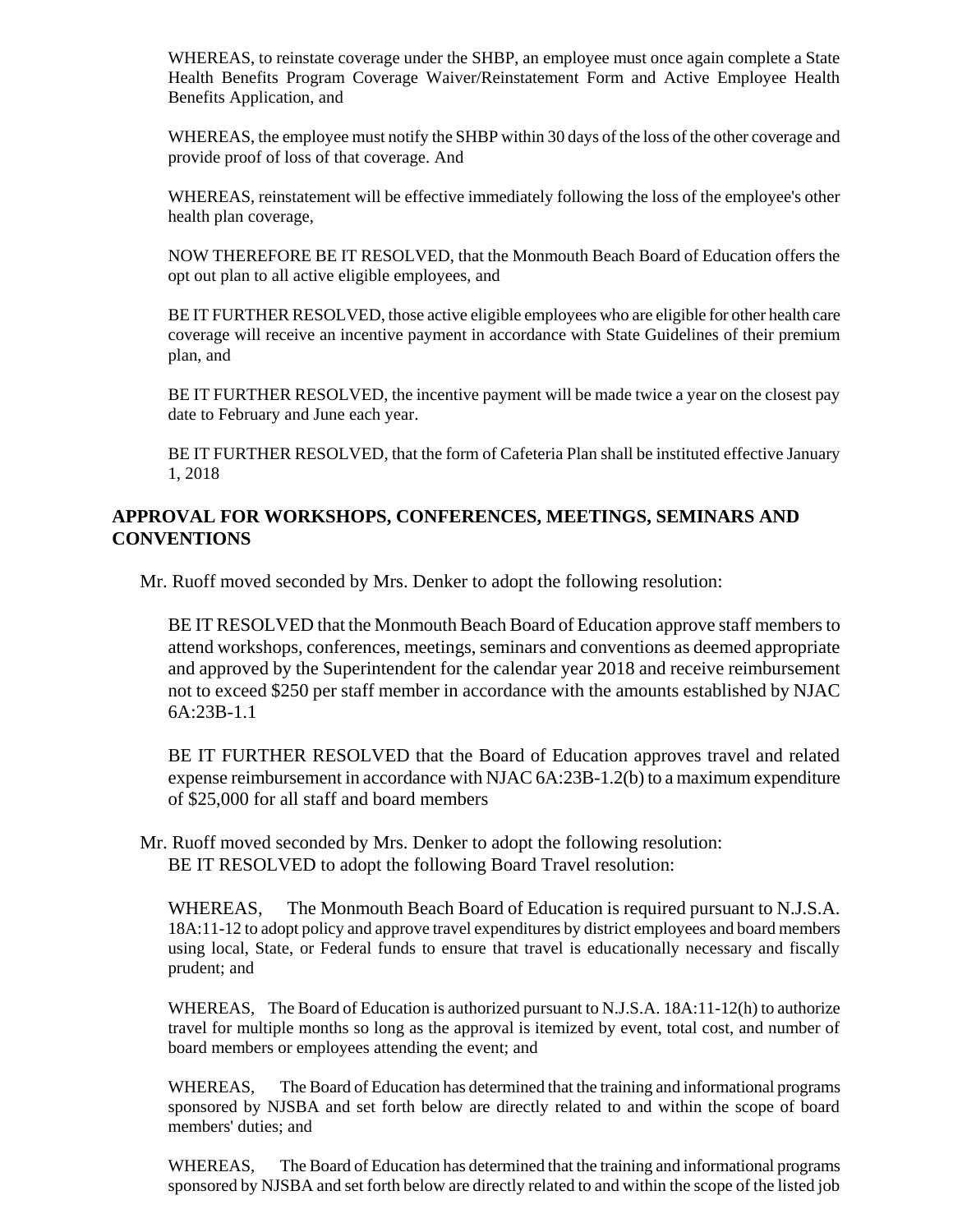WHEREAS, to reinstate coverage under the SHBP, an employee must once again complete a State Health Benefits Program Coverage Waiver/Reinstatement Form and Active Employee Health Benefits Application, and

WHEREAS, the employee must notify the SHBP within 30 days of the loss of the other coverage and provide proof of loss of that coverage. And

WHEREAS, reinstatement will be effective immediately following the loss of the employee's other health plan coverage,

NOW THEREFORE BE IT RESOLVED, that the Monmouth Beach Board of Education offers the opt out plan to all active eligible employees, and

BE IT FURTHER RESOLVED, those active eligible employees who are eligible for other health care coverage will receive an incentive payment in accordance with State Guidelines of their premium plan, and

BE IT FURTHER RESOLVED, the incentive payment will be made twice a year on the closest pay date to February and June each year.

BE IT FURTHER RESOLVED, that the form of Cafeteria Plan shall be instituted effective January 1, 2018

### **APPROVAL FOR WORKSHOPS, CONFERENCES, MEETINGS, SEMINARS AND CONVENTIONS**

Mr. Ruoff moved seconded by Mrs. Denker to adopt the following resolution:

BE IT RESOLVED that the Monmouth Beach Board of Education approve staff members to attend workshops, conferences, meetings, seminars and conventions as deemed appropriate and approved by the Superintendent for the calendar year 2018 and receive reimbursement not to exceed \$250 per staff member in accordance with the amounts established by NJAC 6A:23B-1.1

BE IT FURTHER RESOLVED that the Board of Education approves travel and related expense reimbursement in accordance with NJAC 6A:23B-1.2(b) to a maximum expenditure of \$25,000 for all staff and board members

Mr. Ruoff moved seconded by Mrs. Denker to adopt the following resolution: BE IT RESOLVED to adopt the following Board Travel resolution:

WHEREAS, The Monmouth Beach Board of Education is required pursuant to N.J.S.A. 18A:11-12 to adopt policy and approve travel expenditures by district employees and board members using local, State, or Federal funds to ensure that travel is educationally necessary and fiscally prudent; and

WHEREAS, The Board of Education is authorized pursuant to N.J.S.A. 18A:11-12(h) to authorize travel for multiple months so long as the approval is itemized by event, total cost, and number of board members or employees attending the event; and

WHEREAS, The Board of Education has determined that the training and informational programs sponsored by NJSBA and set forth below are directly related to and within the scope of board members' duties; and

WHEREAS, The Board of Education has determined that the training and informational programs sponsored by NJSBA and set forth below are directly related to and within the scope of the listed job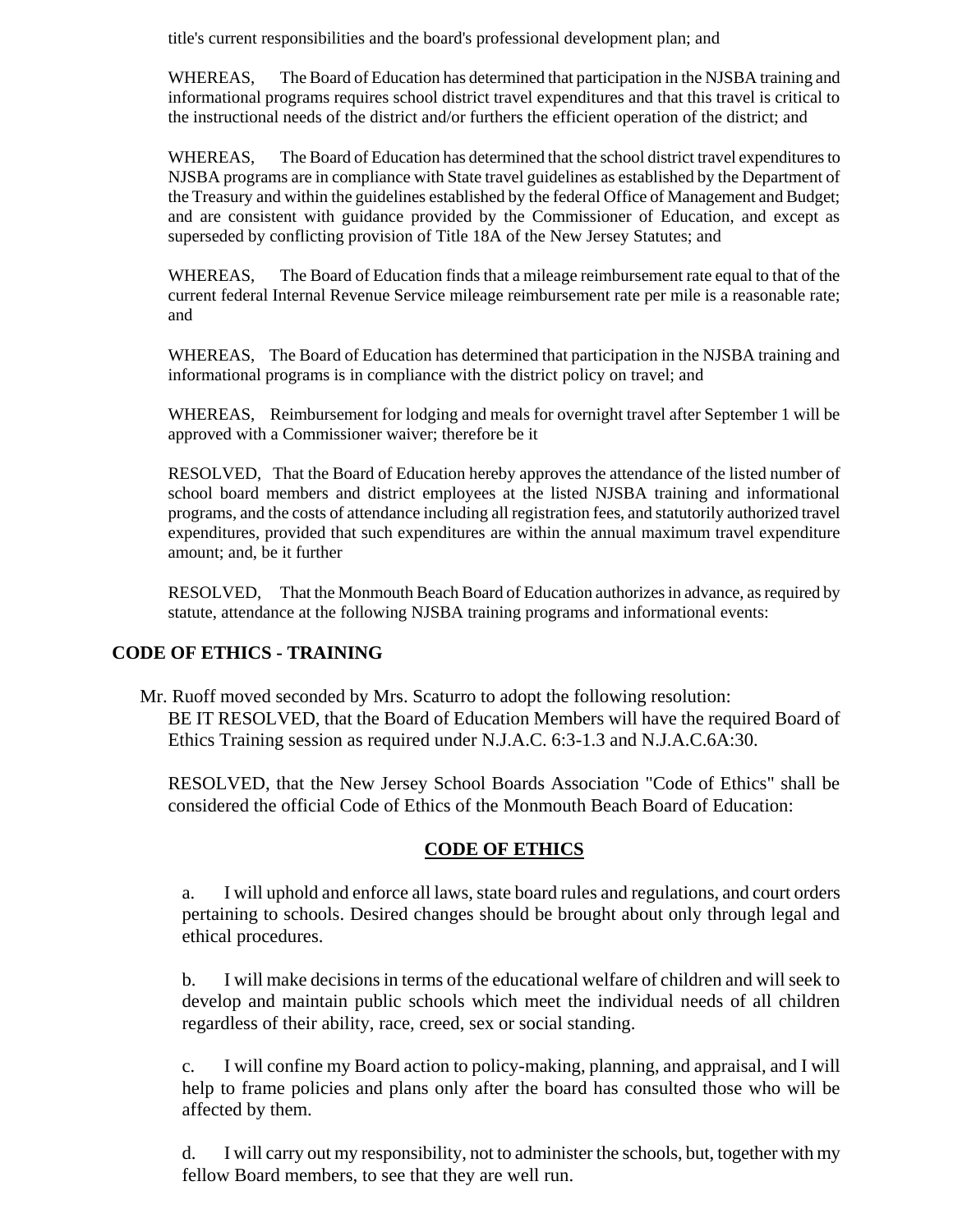title's current responsibilities and the board's professional development plan; and

WHEREAS, The Board of Education has determined that participation in the NJSBA training and informational programs requires school district travel expenditures and that this travel is critical to the instructional needs of the district and/or furthers the efficient operation of the district; and

WHEREAS, The Board of Education has determined that the school district travel expenditures to NJSBA programs are in compliance with State travel guidelines as established by the Department of the Treasury and within the guidelines established by the federal Office of Management and Budget; and are consistent with guidance provided by the Commissioner of Education, and except as superseded by conflicting provision of Title 18A of the New Jersey Statutes; and

WHEREAS, The Board of Education finds that a mileage reimbursement rate equal to that of the current federal Internal Revenue Service mileage reimbursement rate per mile is a reasonable rate; and

WHEREAS, The Board of Education has determined that participation in the NJSBA training and informational programs is in compliance with the district policy on travel; and

WHEREAS, Reimbursement for lodging and meals for overnight travel after September 1 will be approved with a Commissioner waiver; therefore be it

RESOLVED, That the Board of Education hereby approves the attendance of the listed number of school board members and district employees at the listed NJSBA training and informational programs, and the costs of attendance including all registration fees, and statutorily authorized travel expenditures, provided that such expenditures are within the annual maximum travel expenditure amount; and, be it further

RESOLVED, That the Monmouth Beach Board of Education authorizes in advance, as required by statute, attendance at the following NJSBA training programs and informational events:

## **CODE OF ETHICS - TRAINING**

Mr. Ruoff moved seconded by Mrs. Scaturro to adopt the following resolution: BE IT RESOLVED, that the Board of Education Members will have the required Board of Ethics Training session as required under N.J.A.C. 6:3-1.3 and N.J.A.C.6A:30.

RESOLVED, that the New Jersey School Boards Association "Code of Ethics" shall be considered the official Code of Ethics of the Monmouth Beach Board of Education:

#### **CODE OF ETHICS**

a. I will uphold and enforce all laws, state board rules and regulations, and court orders pertaining to schools. Desired changes should be brought about only through legal and ethical procedures.

b. I will make decisions in terms of the educational welfare of children and will seek to develop and maintain public schools which meet the individual needs of all children regardless of their ability, race, creed, sex or social standing.

c. I will confine my Board action to policy-making, planning, and appraisal, and I will help to frame policies and plans only after the board has consulted those who will be affected by them.

d. I will carry out my responsibility, not to administer the schools, but, together with my fellow Board members, to see that they are well run.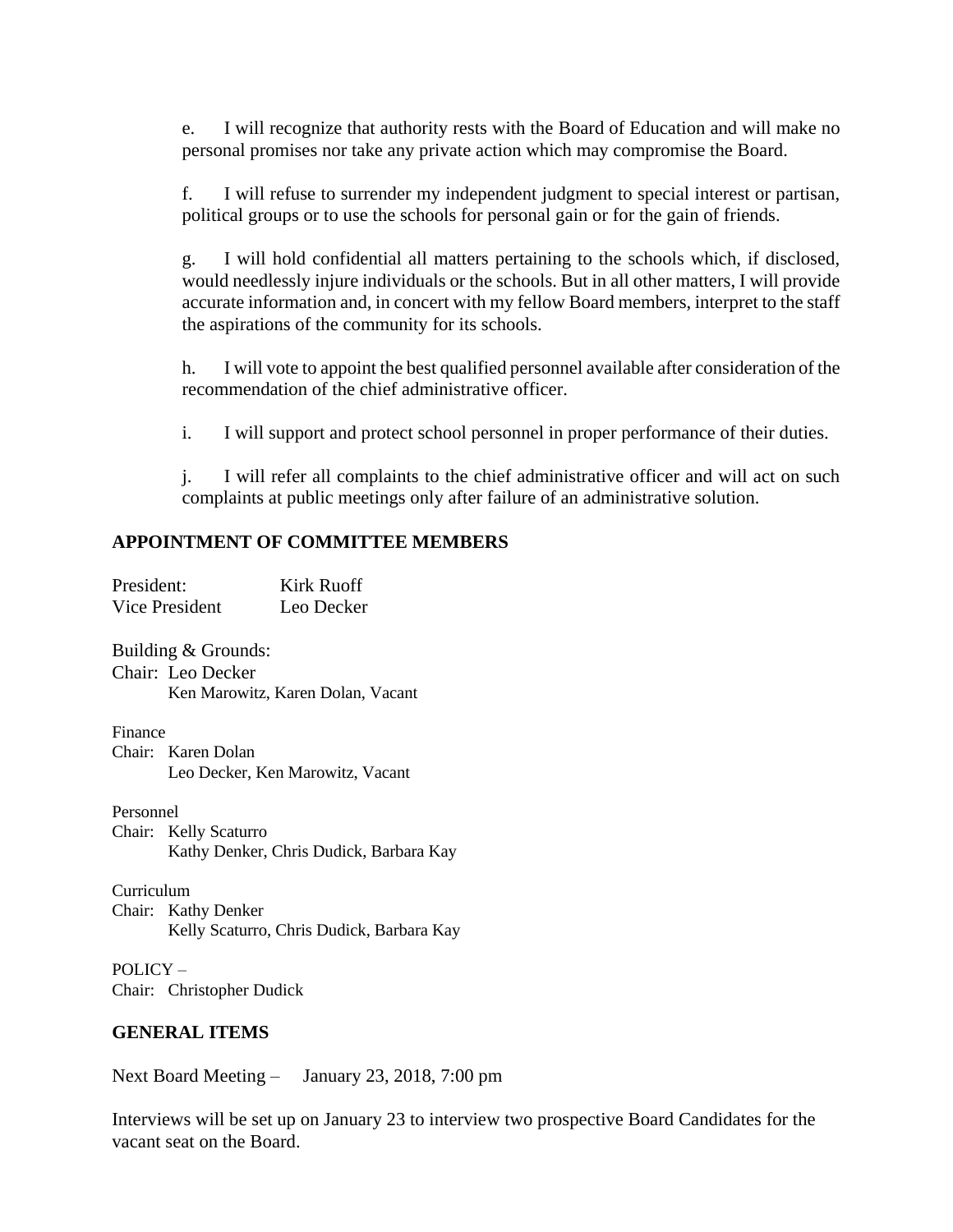e. I will recognize that authority rests with the Board of Education and will make no personal promises nor take any private action which may compromise the Board.

f. I will refuse to surrender my independent judgment to special interest or partisan, political groups or to use the schools for personal gain or for the gain of friends.

g. I will hold confidential all matters pertaining to the schools which, if disclosed, would needlessly injure individuals or the schools. But in all other matters, I will provide accurate information and, in concert with my fellow Board members, interpret to the staff the aspirations of the community for its schools.

h. I will vote to appoint the best qualified personnel available after consideration of the recommendation of the chief administrative officer.

i. I will support and protect school personnel in proper performance of their duties.

j. I will refer all complaints to the chief administrative officer and will act on such complaints at public meetings only after failure of an administrative solution.

#### **APPOINTMENT OF COMMITTEE MEMBERS**

| President:          | Kirk Ruoff |
|---------------------|------------|
| Vice President      | Leo Decker |
|                     |            |
| Building & Grounds: |            |

Chair: Leo Decker Ken Marowitz, Karen Dolan, Vacant

Finance Chair: Karen Dolan Leo Decker, Ken Marowitz, Vacant

Personnel Chair: Kelly Scaturro Kathy Denker, Chris Dudick, Barbara Kay

Curriculum Chair: Kathy Denker Kelly Scaturro, Chris Dudick, Barbara Kay

POLICY – Chair: Christopher Dudick

## **GENERAL ITEMS**

Next Board Meeting – January 23, 2018, 7:00 pm

Interviews will be set up on January 23 to interview two prospective Board Candidates for the vacant seat on the Board.